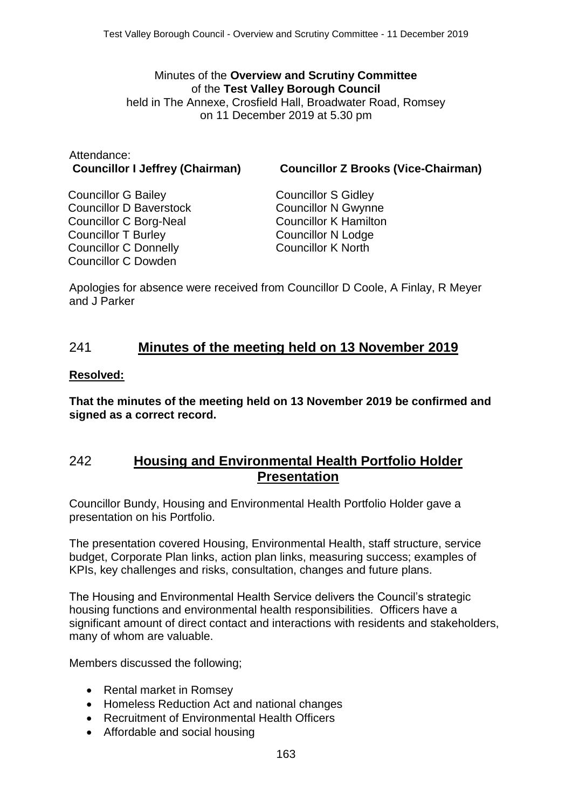#### Minutes of the **Overview and Scrutiny Committee** of the **Test Valley Borough Council** held in The Annexe, Crosfield Hall, Broadwater Road, Romsey on 11 December 2019 at 5.30 pm

# Attendance:

**Councillor I Jeffrey (Chairman) Councillor Z Brooks (Vice-Chairman)**

Councillor G Bailey Councillor D Baverstock Councillor C Borg-Neal Councillor T Burley Councillor C Donnelly Councillor C Dowden

Councillor S Gidley Councillor N Gwynne Councillor K Hamilton Councillor N Lodge Councillor K North

Apologies for absence were received from Councillor D Coole, A Finlay, R Meyer and J Parker

## 241 **Minutes of the meeting held on 13 November 2019**

#### **Resolved:**

**That the minutes of the meeting held on 13 November 2019 be confirmed and signed as a correct record.**

## 242 **Housing and Environmental Health Portfolio Holder Presentation**

Councillor Bundy, Housing and Environmental Health Portfolio Holder gave a presentation on his Portfolio.

The presentation covered Housing, Environmental Health, staff structure, service budget, Corporate Plan links, action plan links, measuring success; examples of KPIs, key challenges and risks, consultation, changes and future plans.

The Housing and Environmental Health Service delivers the Council's strategic housing functions and environmental health responsibilities. Officers have a significant amount of direct contact and interactions with residents and stakeholders, many of whom are valuable.

Members discussed the following;

- Rental market in Romsey
- Homeless Reduction Act and national changes
- Recruitment of Environmental Health Officers
- Affordable and social housing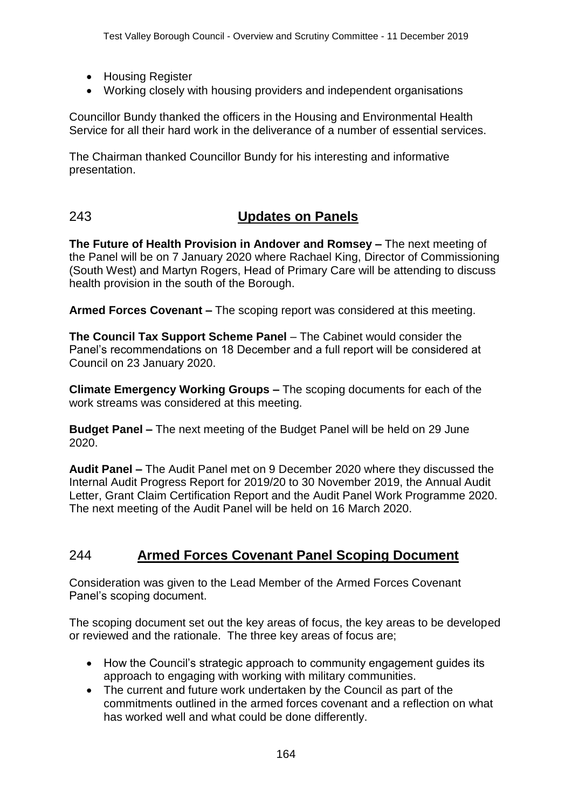- Housing Register
- Working closely with housing providers and independent organisations

Councillor Bundy thanked the officers in the Housing and Environmental Health Service for all their hard work in the deliverance of a number of essential services.

The Chairman thanked Councillor Bundy for his interesting and informative presentation.

## 243 **Updates on Panels**

**The Future of Health Provision in Andover and Romsey –** The next meeting of the Panel will be on 7 January 2020 where Rachael King, Director of Commissioning (South West) and Martyn Rogers, Head of Primary Care will be attending to discuss health provision in the south of the Borough.

**Armed Forces Covenant –** The scoping report was considered at this meeting.

**The Council Tax Support Scheme Panel** – The Cabinet would consider the Panel's recommendations on 18 December and a full report will be considered at Council on 23 January 2020.

**Climate Emergency Working Groups –** The scoping documents for each of the work streams was considered at this meeting.

**Budget Panel –** The next meeting of the Budget Panel will be held on 29 June 2020.

**Audit Panel –** The Audit Panel met on 9 December 2020 where they discussed the Internal Audit Progress Report for 2019/20 to 30 November 2019, the Annual Audit Letter, Grant Claim Certification Report and the Audit Panel Work Programme 2020. The next meeting of the Audit Panel will be held on 16 March 2020.

## 244 **Armed Forces Covenant Panel Scoping Document**

Consideration was given to the Lead Member of the Armed Forces Covenant Panel's scoping document.

The scoping document set out the key areas of focus, the key areas to be developed or reviewed and the rationale. The three key areas of focus are;

- How the Council's strategic approach to community engagement guides its approach to engaging with working with military communities.
- The current and future work undertaken by the Council as part of the commitments outlined in the armed forces covenant and a reflection on what has worked well and what could be done differently.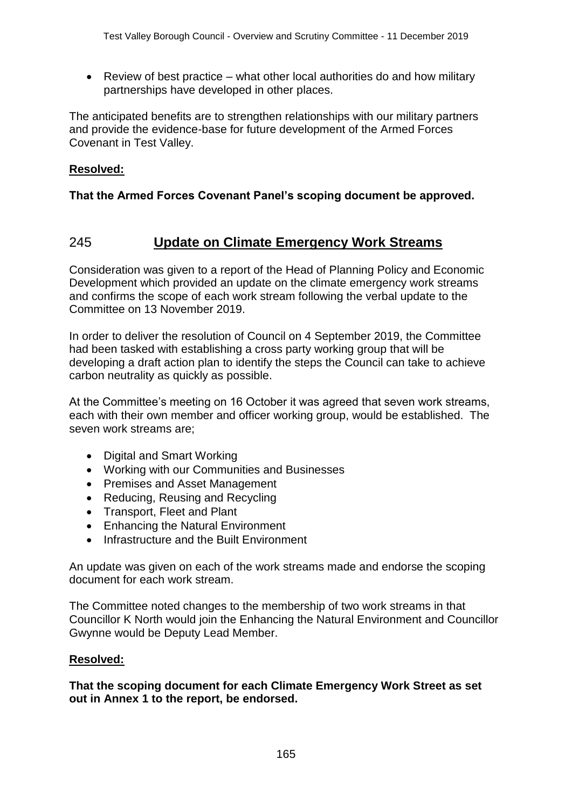• Review of best practice – what other local authorities do and how military partnerships have developed in other places.

The anticipated benefits are to strengthen relationships with our military partners and provide the evidence-base for future development of the Armed Forces Covenant in Test Valley.

#### **Resolved:**

#### **That the Armed Forces Covenant Panel's scoping document be approved.**

## 245 **Update on Climate Emergency Work Streams**

Consideration was given to a report of the Head of Planning Policy and Economic Development which provided an update on the climate emergency work streams and confirms the scope of each work stream following the verbal update to the Committee on 13 November 2019.

In order to deliver the resolution of Council on 4 September 2019, the Committee had been tasked with establishing a cross party working group that will be developing a draft action plan to identify the steps the Council can take to achieve carbon neutrality as quickly as possible.

At the Committee's meeting on 16 October it was agreed that seven work streams, each with their own member and officer working group, would be established. The seven work streams are;

- Digital and Smart Working
- Working with our Communities and Businesses
- Premises and Asset Management
- Reducing, Reusing and Recycling
- Transport, Fleet and Plant
- Enhancing the Natural Environment
- Infrastructure and the Built Environment

An update was given on each of the work streams made and endorse the scoping document for each work stream.

The Committee noted changes to the membership of two work streams in that Councillor K North would join the Enhancing the Natural Environment and Councillor Gwynne would be Deputy Lead Member.

#### **Resolved:**

**That the scoping document for each Climate Emergency Work Street as set out in Annex 1 to the report, be endorsed.**